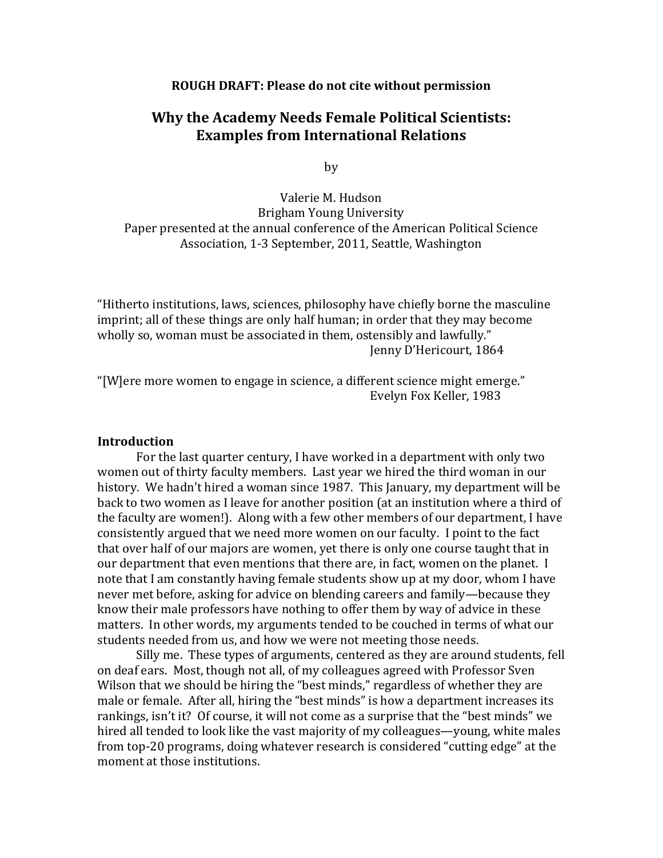#### **ROUGH DRAFT: Please do not cite without permission**

# **Why the Academy Needs Female Political Scientists: Examples from International Relations**

by

Valerie M. Hudson Brigham Young University Paper presented at the annual conference of the American Political Science Association, 1-3 September, 2011, Seattle, Washington

"Hitherto institutions, laws, sciences, philosophy have chiefly borne the masculine imprint; all of these things are only half human; in order that they may become wholly so, woman must be associated in them, ostensibly and lawfully." Jenny D'Hericourt, 1864

"[W]ere more women to engage in science, a different science might emerge." Evelyn Fox Keller, 1983

## **Introduction**

 For the last quarter century, I have worked in a department with only two women out of thirty faculty members. Last year we hired the third woman in our history. We hadn't hired a woman since 1987. This January, my department will be back to two women as I leave for another position (at an institution where a third of the faculty are women!). Along with a few other members of our department, I have consistently argued that we need more women on our faculty. I point to the fact that over half of our majors are women, yet there is only one course taught that in our department that even mentions that there are, in fact, women on the planet. I note that I am constantly having female students show up at my door, whom I have never met before, asking for advice on blending careers and family—because they know their male professors have nothing to offer them by way of advice in these matters. In other words, my arguments tended to be couched in terms of what our students needed from us, and how we were not meeting those needs.

 Silly me. These types of arguments, centered as they are around students, fell on deaf ears. Most, though not all, of my colleagues agreed with Professor Sven Wilson that we should be hiring the "best minds," regardless of whether they are male or female. After all, hiring the "best minds" is how a department increases its rankings, isn't it? Of course, it will not come as a surprise that the "best minds" we hired all tended to look like the vast majority of my colleagues—young, white males from top-20 programs, doing whatever research is considered "cutting edge" at the moment at those institutions.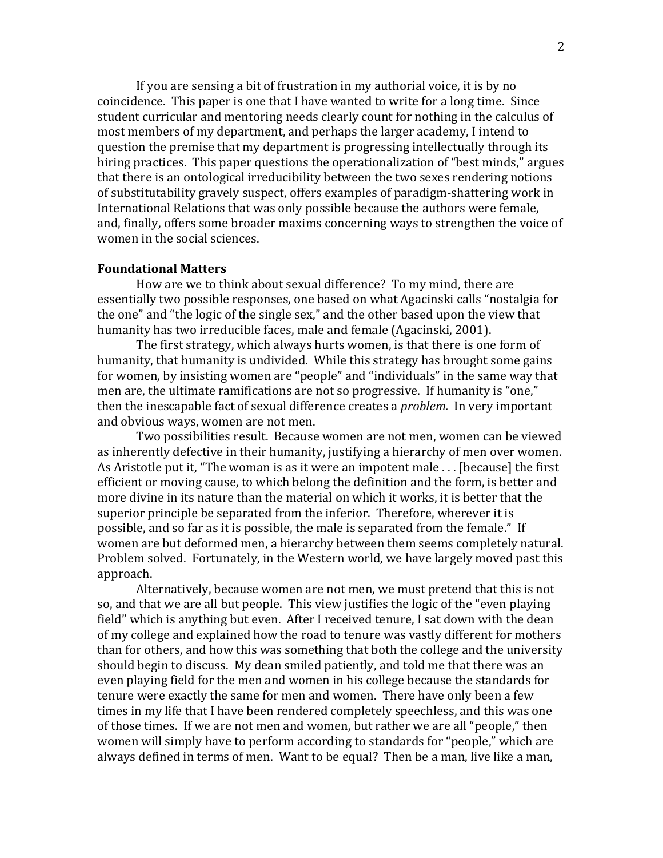If you are sensing a bit of frustration in my authorial voice, it is by no coincidence. This paper is one that I have wanted to write for a long time. Since student curricular and mentoring needs clearly count for nothing in the calculus of most members of my department, and perhaps the larger academy, I intend to question the premise that my department is progressing intellectually through its hiring practices. This paper questions the operationalization of "best minds," argues that there is an ontological irreducibility between the two sexes rendering notions of substitutability gravely suspect, offers examples of paradigm-shattering work in International Relations that was only possible because the authors were female, and, finally, offers some broader maxims concerning ways to strengthen the voice of women in the social sciences.

#### **Foundational Matters**

 How are we to think about sexual difference? To my mind, there are essentially two possible responses, one based on what Agacinski calls "nostalgia for the one" and "the logic of the single sex," and the other based upon the view that humanity has two irreducible faces, male and female (Agacinski, 2001).

 The first strategy, which always hurts women, is that there is one form of humanity, that humanity is undivided. While this strategy has brought some gains for women, by insisting women are "people" and "individuals" in the same way that men are, the ultimate ramifications are not so progressive. If humanity is "one," then the inescapable fact of sexual difference creates a *problem.* In very important and obvious ways, women are not men.

 Two possibilities result. Because women are not men, women can be viewed as inherently defective in their humanity, justifying a hierarchy of men over women. As Aristotle put it, "The woman is as it were an impotent male . . . [because] the first efficient or moving cause, to which belong the definition and the form, is better and more divine in its nature than the material on which it works, it is better that the superior principle be separated from the inferior. Therefore, wherever it is possible, and so far as it is possible, the male is separated from the female." If women are but deformed men, a hierarchy between them seems completely natural. Problem solved. Fortunately, in the Western world, we have largely moved past this approach.

Alternatively, because women are not men, we must pretend that this is not so, and that we are all but people. This view justifies the logic of the "even playing field" which is anything but even. After I received tenure, I sat down with the dean of my college and explained how the road to tenure was vastly different for mothers than for others, and how this was something that both the college and the university should begin to discuss. My dean smiled patiently, and told me that there was an even playing field for the men and women in his college because the standards for tenure were exactly the same for men and women. There have only been a few times in my life that I have been rendered completely speechless, and this was one of those times. If we are not men and women, but rather we are all "people," then women will simply have to perform according to standards for "people," which are always defined in terms of men. Want to be equal? Then be a man, live like a man,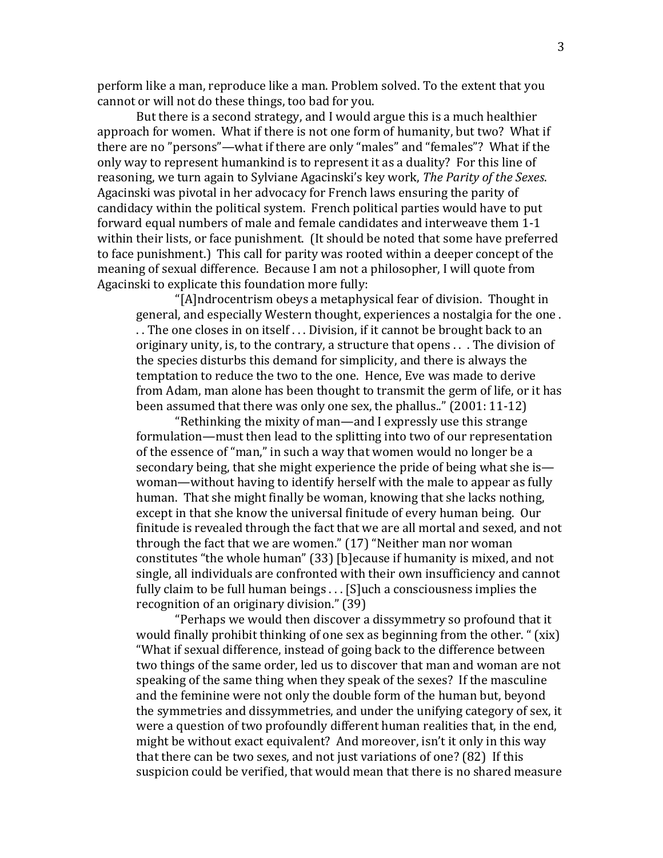perform like a man, reproduce like a man. Problem solved. To the extent that you cannot or will not do these things, too bad for you.

But there is a second strategy, and I would argue this is a much healthier approach for women. What if there is not one form of humanity, but two? What if there are no "persons"—what if there are only "males" and "females"? What if the only way to represent humankind is to represent it as a duality? For this line of reasoning, we turn again to Sylviane Agacinski's key work, *The Parity of the Sexes*. Agacinski was pivotal in her advocacy for French laws ensuring the parity of candidacy within the political system. French political parties would have to put forward equal numbers of male and female candidates and interweave them 1-1 within their lists, or face punishment. (It should be noted that some have preferred to face punishment.) This call for parity was rooted within a deeper concept of the meaning of sexual difference. Because I am not a philosopher, I will quote from Agacinski to explicate this foundation more fully:

"[A]ndrocentrism obeys a metaphysical fear of division. Thought in general, and especially Western thought, experiences a nostalgia for the one . . . The one closes in on itself . . . Division, if it cannot be brought back to an originary unity, is, to the contrary, a structure that opens . . . The division of the species disturbs this demand for simplicity, and there is always the temptation to reduce the two to the one. Hence, Eve was made to derive from Adam, man alone has been thought to transmit the germ of life, or it has been assumed that there was only one sex, the phallus.." (2001: 11-12)

"Rethinking the mixity of man—and I expressly use this strange formulation—must then lead to the splitting into two of our representation of the essence of "man," in such a way that women would no longer be a secondary being, that she might experience the pride of being what she is woman—without having to identify herself with the male to appear as fully human. That she might finally be woman, knowing that she lacks nothing, except in that she know the universal finitude of every human being. Our finitude is revealed through the fact that we are all mortal and sexed, and not through the fact that we are women." (17) "Neither man nor woman constitutes "the whole human" (33) [b]ecause if humanity is mixed, and not single, all individuals are confronted with their own insufficiency and cannot fully claim to be full human beings . . . [S]uch a consciousness implies the recognition of an originary division." (39)

"Perhaps we would then discover a dissymmetry so profound that it would finally prohibit thinking of one sex as beginning from the other. " (xix) "What if sexual difference, instead of going back to the difference between two things of the same order, led us to discover that man and woman are not speaking of the same thing when they speak of the sexes? If the masculine and the feminine were not only the double form of the human but, beyond the symmetries and dissymmetries, and under the unifying category of sex, it were a question of two profoundly different human realities that, in the end, might be without exact equivalent? And moreover, isn't it only in this way that there can be two sexes, and not just variations of one? (82) If this suspicion could be verified, that would mean that there is no shared measure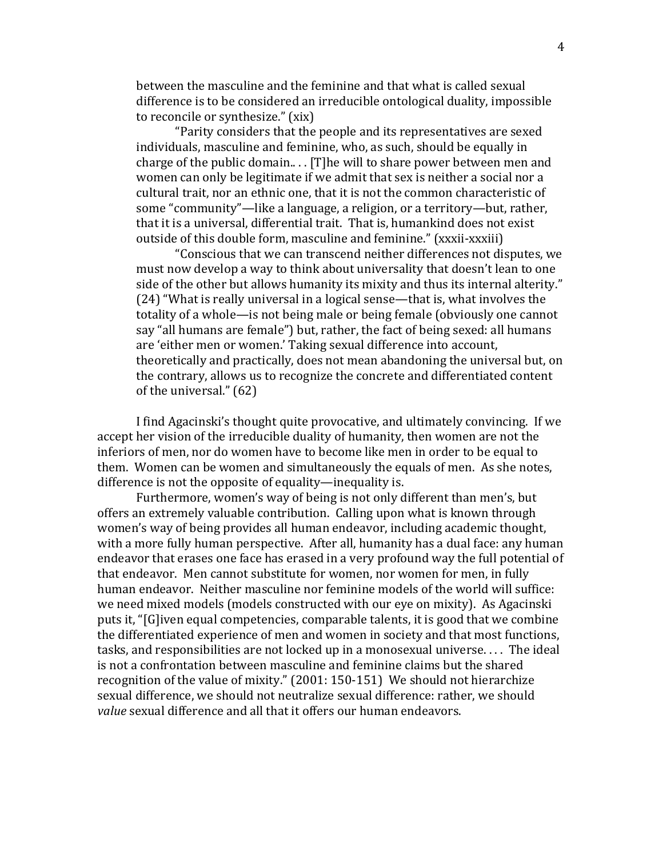between the masculine and the feminine and that what is called sexual difference is to be considered an irreducible ontological duality, impossible to reconcile or synthesize." (xix)

"Parity considers that the people and its representatives are sexed individuals, masculine and feminine, who, as such, should be equally in charge of the public domain.. . . [T]he will to share power between men and women can only be legitimate if we admit that sex is neither a social nor a cultural trait, nor an ethnic one, that it is not the common characteristic of some "community"—like a language, a religion, or a territory—but, rather, that it is a universal, differential trait. That is, humankind does not exist outside of this double form, masculine and feminine." (xxxii-xxxiii)

"Conscious that we can transcend neither differences not disputes, we must now develop a way to think about universality that doesn't lean to one side of the other but allows humanity its mixity and thus its internal alterity." (24) "What is really universal in a logical sense—that is, what involves the totality of a whole—is not being male or being female (obviously one cannot say "all humans are female") but, rather, the fact of being sexed: all humans are 'either men or women.' Taking sexual difference into account, theoretically and practically, does not mean abandoning the universal but, on the contrary, allows us to recognize the concrete and differentiated content of the universal." (62)

I find Agacinski's thought quite provocative, and ultimately convincing. If we accept her vision of the irreducible duality of humanity, then women are not the inferiors of men, nor do women have to become like men in order to be equal to them. Women can be women and simultaneously the equals of men. As she notes, difference is not the opposite of equality—inequality is.

Furthermore, women's way of being is not only different than men's, but offers an extremely valuable contribution. Calling upon what is known through women's way of being provides all human endeavor, including academic thought, with a more fully human perspective. After all, humanity has a dual face: any human endeavor that erases one face has erased in a very profound way the full potential of that endeavor. Men cannot substitute for women, nor women for men, in fully human endeavor. Neither masculine nor feminine models of the world will suffice: we need mixed models (models constructed with our eye on mixity). As Agacinski puts it, "[G]iven equal competencies, comparable talents, it is good that we combine the differentiated experience of men and women in society and that most functions, tasks, and responsibilities are not locked up in a monosexual universe. . . . The ideal is not a confrontation between masculine and feminine claims but the shared recognition of the value of mixity." (2001: 150-151) We should not hierarchize sexual difference, we should not neutralize sexual difference: rather, we should *value* sexual difference and all that it offers our human endeavors.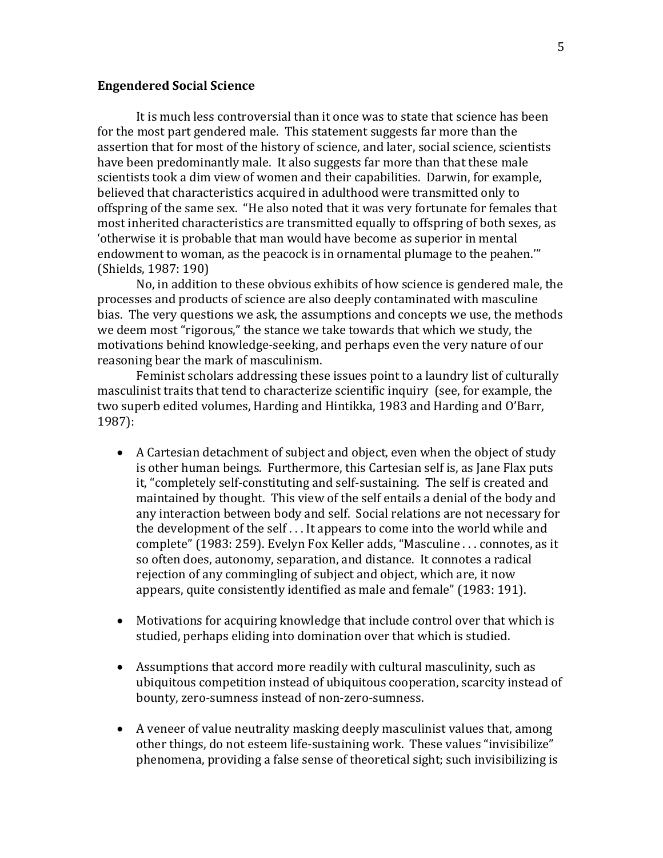#### **Engendered Social Science**

 It is much less controversial than it once was to state that science has been for the most part gendered male. This statement suggests far more than the assertion that for most of the history of science, and later, social science, scientists have been predominantly male. It also suggests far more than that these male scientists took a dim view of women and their capabilities. Darwin, for example, believed that characteristics acquired in adulthood were transmitted only to offspring of the same sex. "He also noted that it was very fortunate for females that most inherited characteristics are transmitted equally to offspring of both sexes, as 'otherwise it is probable that man would have become as superior in mental endowment to woman, as the peacock is in ornamental plumage to the peahen.'" (Shields, 1987: 190)

 No, in addition to these obvious exhibits of how science is gendered male, the processes and products of science are also deeply contaminated with masculine bias. The very questions we ask, the assumptions and concepts we use, the methods we deem most "rigorous," the stance we take towards that which we study, the motivations behind knowledge-seeking, and perhaps even the very nature of our reasoning bear the mark of masculinism.

 Feminist scholars addressing these issues point to a laundry list of culturally masculinist traits that tend to characterize scientific inquiry (see, for example, the two superb edited volumes, Harding and Hintikka, 1983 and Harding and O'Barr, 1987):

- A Cartesian detachment of subject and object, even when the object of study is other human beings. Furthermore, this Cartesian self is, as Jane Flax puts it, "completely self-constituting and self-sustaining. The self is created and maintained by thought. This view of the self entails a denial of the body and any interaction between body and self. Social relations are not necessary for the development of the self . . . It appears to come into the world while and complete" (1983: 259). Evelyn Fox Keller adds, "Masculine . . . connotes, as it so often does, autonomy, separation, and distance. It connotes a radical rejection of any commingling of subject and object, which are, it now appears, quite consistently identified as male and female" (1983: 191).
- Motivations for acquiring knowledge that include control over that which is studied, perhaps eliding into domination over that which is studied.
- Assumptions that accord more readily with cultural masculinity, such as ubiquitous competition instead of ubiquitous cooperation, scarcity instead of bounty, zero-sumness instead of non-zero-sumness.
- A veneer of value neutrality masking deeply masculinist values that, among other things, do not esteem life-sustaining work. These values "invisibilize" phenomena, providing a false sense of theoretical sight; such invisibilizing is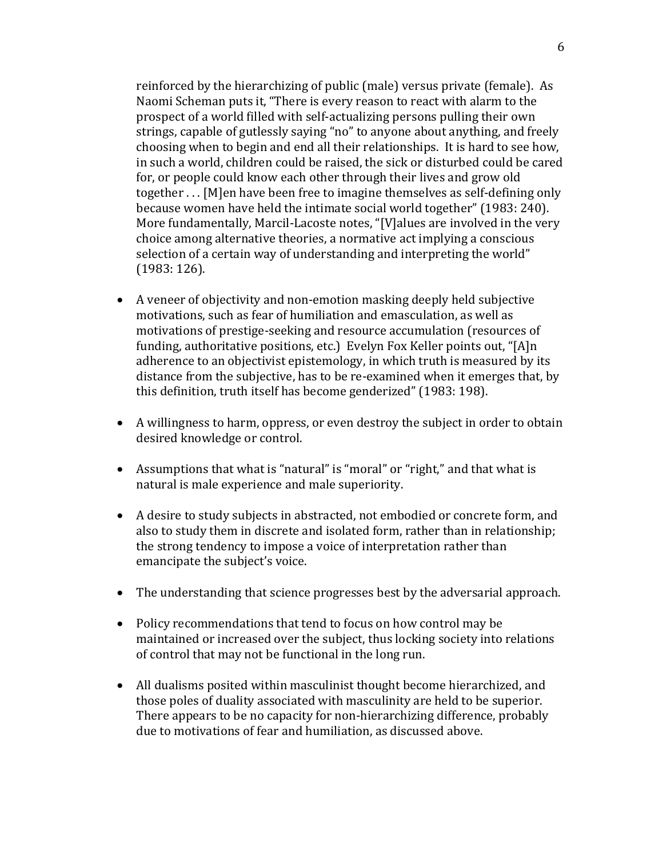reinforced by the hierarchizing of public (male) versus private (female). As Naomi Scheman puts it, "There is every reason to react with alarm to the prospect of a world filled with self-actualizing persons pulling their own strings, capable of gutlessly saying "no" to anyone about anything, and freely choosing when to begin and end all their relationships. It is hard to see how, in such a world, children could be raised, the sick or disturbed could be cared for, or people could know each other through their lives and grow old together . . . [M]en have been free to imagine themselves as self-defining only because women have held the intimate social world together" (1983: 240). More fundamentally, Marcil-Lacoste notes, "[V]alues are involved in the very choice among alternative theories, a normative act implying a conscious selection of a certain way of understanding and interpreting the world" (1983: 126).

- A veneer of objectivity and non-emotion masking deeply held subjective motivations, such as fear of humiliation and emasculation, as well as motivations of prestige-seeking and resource accumulation (resources of funding, authoritative positions, etc.) Evelyn Fox Keller points out, "[A]n adherence to an objectivist epistemology, in which truth is measured by its distance from the subjective, has to be re-examined when it emerges that, by this definition, truth itself has become genderized" (1983: 198).
- A willingness to harm, oppress, or even destroy the subject in order to obtain desired knowledge or control.
- Assumptions that what is "natural" is "moral" or "right," and that what is natural is male experience and male superiority.
- A desire to study subjects in abstracted, not embodied or concrete form, and also to study them in discrete and isolated form, rather than in relationship; the strong tendency to impose a voice of interpretation rather than emancipate the subject's voice.
- The understanding that science progresses best by the adversarial approach.
- Policy recommendations that tend to focus on how control may be maintained or increased over the subject, thus locking society into relations of control that may not be functional in the long run.
- All dualisms posited within masculinist thought become hierarchized, and those poles of duality associated with masculinity are held to be superior. There appears to be no capacity for non-hierarchizing difference, probably due to motivations of fear and humiliation, as discussed above.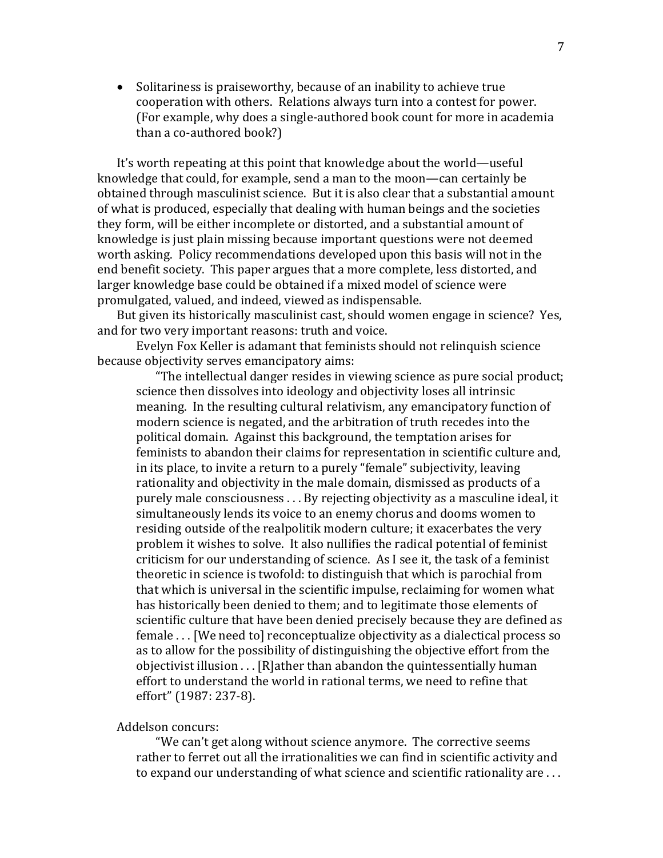• Solitariness is praiseworthy, because of an inability to achieve true cooperation with others. Relations always turn into a contest for power. (For example, why does a single-authored book count for more in academia than a co-authored book?)

It's worth repeating at this point that knowledge about the world—useful knowledge that could, for example, send a man to the moon—can certainly be obtained through masculinist science. But it is also clear that a substantial amount of what is produced, especially that dealing with human beings and the societies they form, will be either incomplete or distorted, and a substantial amount of knowledge is just plain missing because important questions were not deemed worth asking. Policy recommendations developed upon this basis will not in the end benefit society. This paper argues that a more complete, less distorted, and larger knowledge base could be obtained if a mixed model of science were promulgated, valued, and indeed, viewed as indispensable.

But given its historically masculinist cast, should women engage in science? Yes, and for two very important reasons: truth and voice.

 Evelyn Fox Keller is adamant that feminists should not relinquish science because objectivity serves emancipatory aims:

"The intellectual danger resides in viewing science as pure social product; science then dissolves into ideology and objectivity loses all intrinsic meaning. In the resulting cultural relativism, any emancipatory function of modern science is negated, and the arbitration of truth recedes into the political domain. Against this background, the temptation arises for feminists to abandon their claims for representation in scientific culture and, in its place, to invite a return to a purely "female" subjectivity, leaving rationality and objectivity in the male domain, dismissed as products of a purely male consciousness . . . By rejecting objectivity as a masculine ideal, it simultaneously lends its voice to an enemy chorus and dooms women to residing outside of the realpolitik modern culture; it exacerbates the very problem it wishes to solve. It also nullifies the radical potential of feminist criticism for our understanding of science. As I see it, the task of a feminist theoretic in science is twofold: to distinguish that which is parochial from that which is universal in the scientific impulse, reclaiming for women what has historically been denied to them; and to legitimate those elements of scientific culture that have been denied precisely because they are defined as female . . . [We need to] reconceptualize objectivity as a dialectical process so as to allow for the possibility of distinguishing the objective effort from the objectivist illusion . . . [R]ather than abandon the quintessentially human effort to understand the world in rational terms, we need to refine that effort" (1987: 237-8).

Addelson concurs:

"We can't get along without science anymore. The corrective seems rather to ferret out all the irrationalities we can find in scientific activity and to expand our understanding of what science and scientific rationality are . . .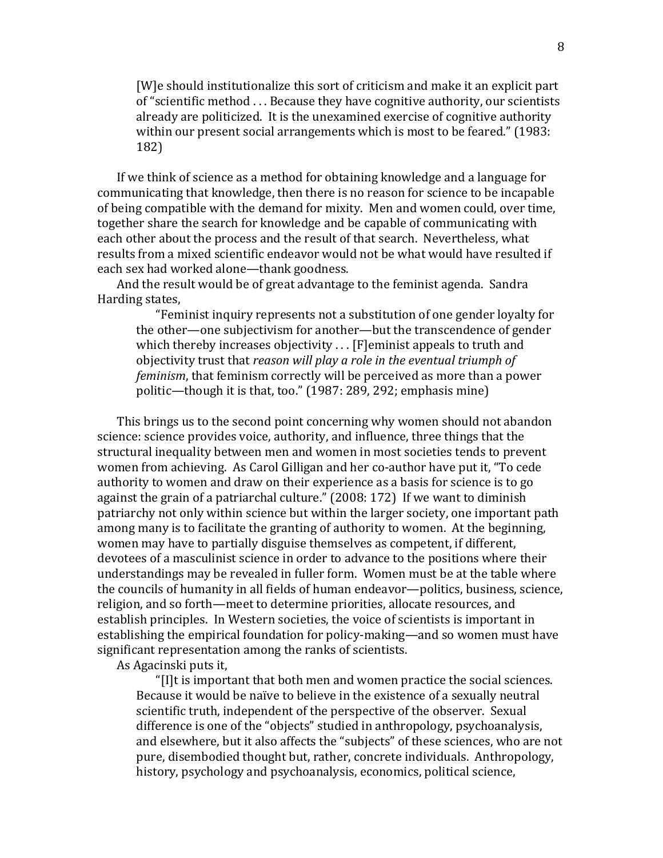[W]e should institutionalize this sort of criticism and make it an explicit part of "scientific method . . . Because they have cognitive authority, our scientists already are politicized. It is the unexamined exercise of cognitive authority within our present social arrangements which is most to be feared." (1983: 182)

If we think of science as a method for obtaining knowledge and a language for communicating that knowledge, then there is no reason for science to be incapable of being compatible with the demand for mixity. Men and women could, over time, together share the search for knowledge and be capable of communicating with each other about the process and the result of that search. Nevertheless, what results from a mixed scientific endeavor would not be what would have resulted if each sex had worked alone—thank goodness.

And the result would be of great advantage to the feminist agenda. Sandra Harding states,

"Feminist inquiry represents not a substitution of one gender loyalty for the other—one subjectivism for another—but the transcendence of gender which thereby increases objectivity . . . [F]eminist appeals to truth and objectivity trust that *reason will play a role in the eventual triumph of feminism*, that feminism correctly will be perceived as more than a power politic—though it is that, too." (1987: 289, 292; emphasis mine)

This brings us to the second point concerning why women should not abandon science: science provides voice, authority, and influence, three things that the structural inequality between men and women in most societies tends to prevent women from achieving. As Carol Gilligan and her co-author have put it, "To cede authority to women and draw on their experience as a basis for science is to go against the grain of a patriarchal culture." (2008: 172) If we want to diminish patriarchy not only within science but within the larger society, one important path among many is to facilitate the granting of authority to women. At the beginning, women may have to partially disguise themselves as competent, if different, devotees of a masculinist science in order to advance to the positions where their understandings may be revealed in fuller form. Women must be at the table where the councils of humanity in all fields of human endeavor—politics, business, science, religion, and so forth—meet to determine priorities, allocate resources, and establish principles. In Western societies, the voice of scientists is important in establishing the empirical foundation for policy-making—and so women must have significant representation among the ranks of scientists.

As Agacinski puts it,

"[I]t is important that both men and women practice the social sciences. Because it would be naïve to believe in the existence of a sexually neutral scientific truth, independent of the perspective of the observer. Sexual difference is one of the "objects" studied in anthropology, psychoanalysis, and elsewhere, but it also affects the "subjects" of these sciences, who are not pure, disembodied thought but, rather, concrete individuals. Anthropology, history, psychology and psychoanalysis, economics, political science,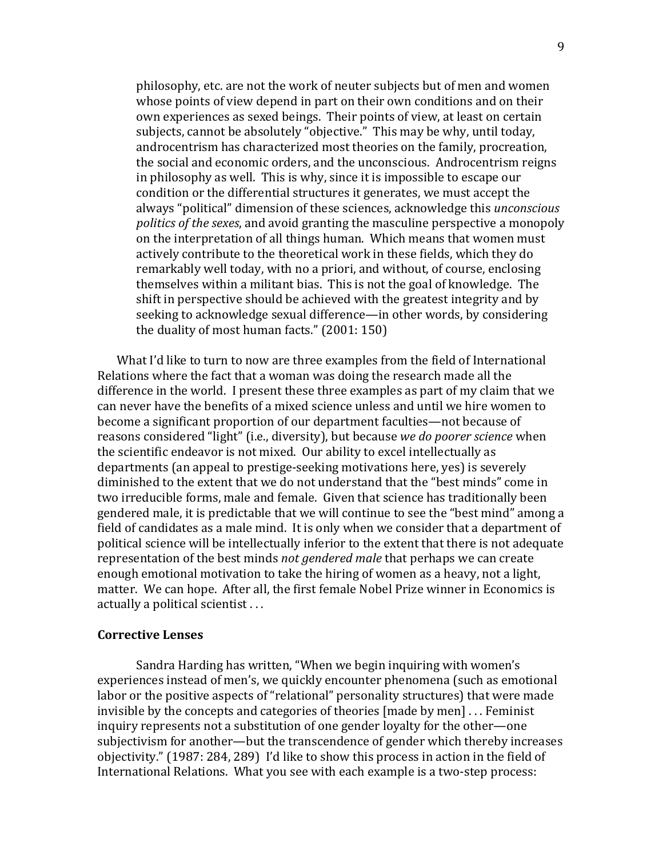philosophy, etc. are not the work of neuter subjects but of men and women whose points of view depend in part on their own conditions and on their own experiences as sexed beings. Their points of view, at least on certain subjects, cannot be absolutely "objective." This may be why, until today, androcentrism has characterized most theories on the family, procreation, the social and economic orders, and the unconscious. Androcentrism reigns in philosophy as well. This is why, since it is impossible to escape our condition or the differential structures it generates, we must accept the always "political" dimension of these sciences, acknowledge this *unconscious politics of the sexes*, and avoid granting the masculine perspective a monopoly on the interpretation of all things human. Which means that women must actively contribute to the theoretical work in these fields, which they do remarkably well today, with no a priori, and without, of course, enclosing themselves within a militant bias. This is not the goal of knowledge. The shift in perspective should be achieved with the greatest integrity and by seeking to acknowledge sexual difference—in other words, by considering the duality of most human facts." (2001: 150)

What I'd like to turn to now are three examples from the field of International Relations where the fact that a woman was doing the research made all the difference in the world. I present these three examples as part of my claim that we can never have the benefits of a mixed science unless and until we hire women to become a significant proportion of our department faculties—not because of reasons considered "light" (i.e., diversity), but because *we do poorer science* when the scientific endeavor is not mixed. Our ability to excel intellectually as departments (an appeal to prestige-seeking motivations here, yes) is severely diminished to the extent that we do not understand that the "best minds" come in two irreducible forms, male and female. Given that science has traditionally been gendered male, it is predictable that we will continue to see the "best mind" among a field of candidates as a male mind. It is only when we consider that a department of political science will be intellectually inferior to the extent that there is not adequate representation of the best minds *not gendered male* that perhaps we can create enough emotional motivation to take the hiring of women as a heavy, not a light, matter. We can hope. After all, the first female Nobel Prize winner in Economics is actually a political scientist . . .

#### **Corrective Lenses**

Sandra Harding has written, "When we begin inquiring with women's experiences instead of men's, we quickly encounter phenomena (such as emotional labor or the positive aspects of "relational" personality structures) that were made invisible by the concepts and categories of theories [made by men] . . . Feminist inquiry represents not a substitution of one gender loyalty for the other—one subjectivism for another—but the transcendence of gender which thereby increases objectivity." (1987: 284, 289) I'd like to show this process in action in the field of International Relations. What you see with each example is a two-step process: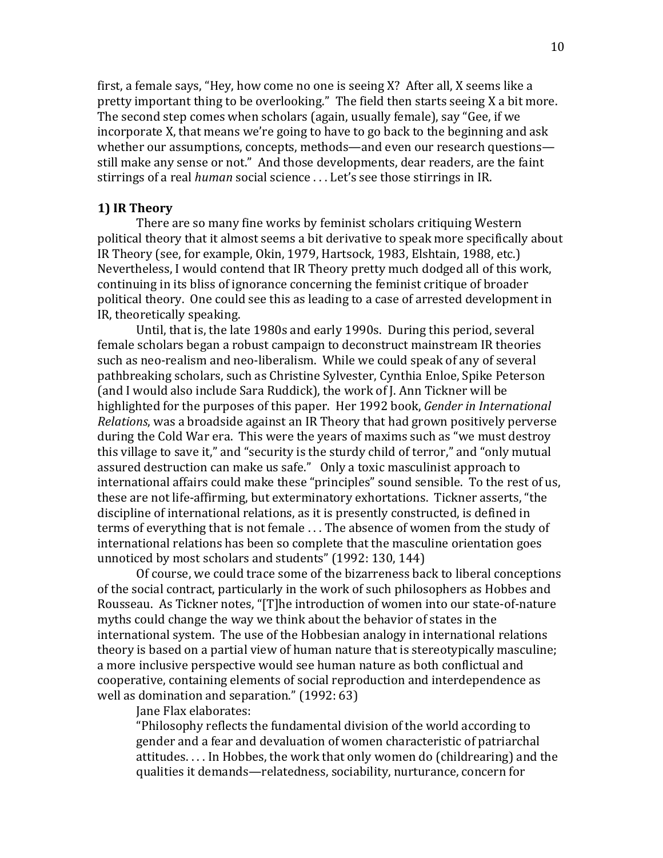first, a female says, "Hey, how come no one is seeing X? After all, X seems like a pretty important thing to be overlooking." The field then starts seeing X a bit more. The second step comes when scholars (again, usually female), say "Gee, if we incorporate X, that means we're going to have to go back to the beginning and ask whether our assumptions, concepts, methods—and even our research questions still make any sense or not." And those developments, dear readers, are the faint stirrings of a real *human* social science . . . Let's see those stirrings in IR.

#### **1) IR Theory**

 There are so many fine works by feminist scholars critiquing Western political theory that it almost seems a bit derivative to speak more specifically about IR Theory (see, for example, Okin, 1979, Hartsock, 1983, Elshtain, 1988, etc.) Nevertheless, I would contend that IR Theory pretty much dodged all of this work, continuing in its bliss of ignorance concerning the feminist critique of broader political theory. One could see this as leading to a case of arrested development in IR, theoretically speaking.

 Until, that is, the late 1980s and early 1990s. During this period, several female scholars began a robust campaign to deconstruct mainstream IR theories such as neo-realism and neo-liberalism. While we could speak of any of several pathbreaking scholars, such as Christine Sylvester, Cynthia Enloe, Spike Peterson (and I would also include Sara Ruddick), the work of J. Ann Tickner will be highlighted for the purposes of this paper. Her 1992 book, *Gender in International Relations*, was a broadside against an IR Theory that had grown positively perverse during the Cold War era. This were the years of maxims such as "we must destroy this village to save it," and "security is the sturdy child of terror," and "only mutual assured destruction can make us safe." Only a toxic masculinist approach to international affairs could make these "principles" sound sensible. To the rest of us, these are not life-affirming, but exterminatory exhortations. Tickner asserts, "the discipline of international relations, as it is presently constructed, is defined in terms of everything that is not female . . . The absence of women from the study of international relations has been so complete that the masculine orientation goes unnoticed by most scholars and students" (1992: 130, 144)

 Of course, we could trace some of the bizarreness back to liberal conceptions of the social contract, particularly in the work of such philosophers as Hobbes and Rousseau. As Tickner notes, "[T]he introduction of women into our state-of-nature myths could change the way we think about the behavior of states in the international system. The use of the Hobbesian analogy in international relations theory is based on a partial view of human nature that is stereotypically masculine; a more inclusive perspective would see human nature as both conflictual and cooperative, containing elements of social reproduction and interdependence as well as domination and separation." (1992: 63)

Jane Flax elaborates:

"Philosophy reflects the fundamental division of the world according to gender and a fear and devaluation of women characteristic of patriarchal attitudes. . . . In Hobbes, the work that only women do (childrearing) and the qualities it demands—relatedness, sociability, nurturance, concern for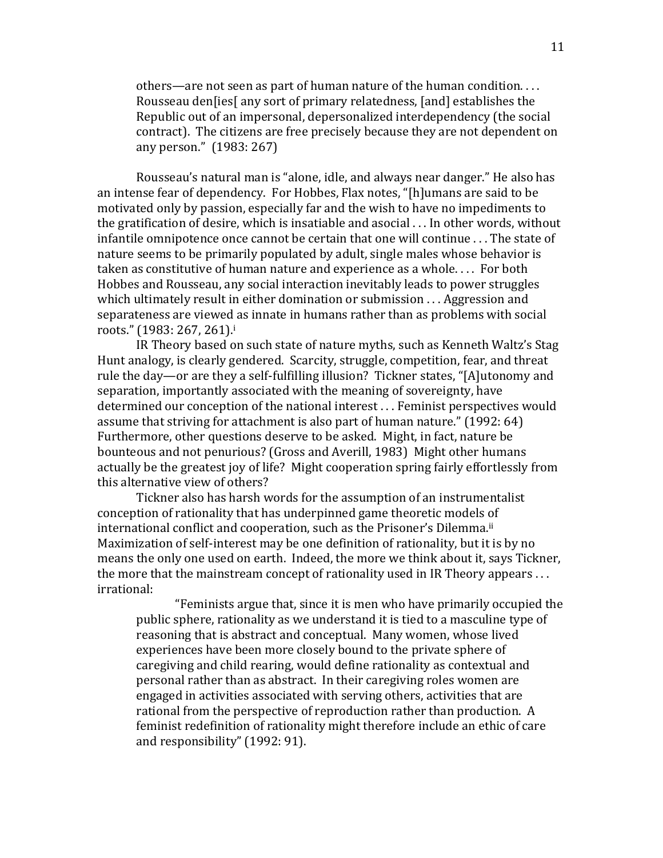others—are not seen as part of human nature of the human condition. . . . Rousseau den[ies[ any sort of primary relatedness, [and] establishes the Republic out of an impersonal, depersonalized interdependency (the social contract). The citizens are free precisely because they are not dependent on any person." (1983: 267)

Rousseau's natural man is "alone, idle, and always near danger." He also has an intense fear of dependency. For Hobbes, Flax notes, "[h]umans are said to be motivated only by passion, especially far and the wish to have no impediments to the gratification of desire, which is insatiable and asocial . . . In other words, without infantile omnipotence once cannot be certain that one will continue . . . The state of nature seems to be primarily populated by adult, single males whose behavior is taken as constitutive of human nature and experience as a whole. . . . For both Hobbes and Rousseau, any social interaction inevitably leads to power struggles which ultimately result in either domination or submission . . . Aggression and separateness are viewed as innate in humans rather than as problems with social roots." (1983: 267, 261)[.](#page-25-0)<sup>i</sup>

IR Theory based on such state of nature myths, such as Kenneth Waltz's Stag Hunt analogy, is clearly gendered. Scarcity, struggle, competition, fear, and threat rule the day—or are they a self-fulfilling illusion? Tickner states, "[A]utonomy and separation, importantly associated with the meaning of sovereignty, have determined our conception of the national interest . . . Feminist perspectives would assume that striving for attachment is also part of human nature." (1992: 64) Furthermore, other questions deserve to be asked. Might, in fact, nature be bounteous and not penurious? (Gross and Averill, 1983) Might other humans actually be the greatest joy of life? Might cooperation spring fairly effortlessly from this alternative view of others?

Tickner also has harsh words for the assumption of an instrumentalist conception of rationality that has underpinned game theoretic models of international conflict and cooperation, such as the Prisoner's Dilemma.[ii](#page-25-0) Maximization of self-interest may be one definition of rationality, but it is by no means the only one used on earth. Indeed, the more we think about it, says Tickner, the more that the mainstream concept of rationality used in IR Theory appears . . . irrational:

"Feminists argue that, since it is men who have primarily occupied the public sphere, rationality as we understand it is tied to a masculine type of reasoning that is abstract and conceptual. Many women, whose lived experiences have been more closely bound to the private sphere of caregiving and child rearing, would define rationality as contextual and personal rather than as abstract. In their caregiving roles women are engaged in activities associated with serving others, activities that are rational from the perspective of reproduction rather than production. A feminist redefinition of rationality might therefore include an ethic of care and responsibility" (1992: 91).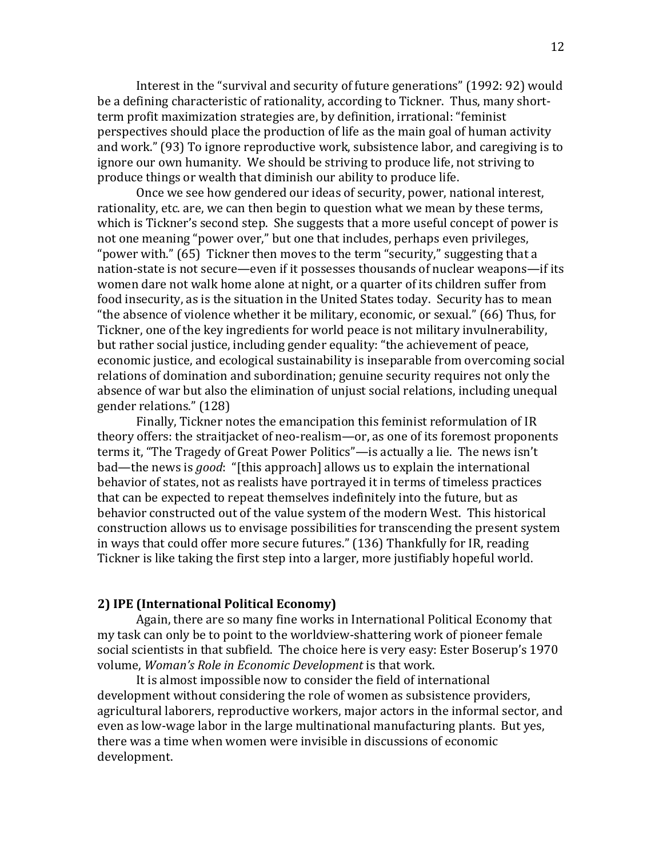Interest in the "survival and security of future generations" (1992: 92) would be a defining characteristic of rationality, according to Tickner. Thus, many shortterm profit maximization strategies are, by definition, irrational: "feminist perspectives should place the production of life as the main goal of human activity and work." (93) To ignore reproductive work, subsistence labor, and caregiving is to ignore our own humanity. We should be striving to produce life, not striving to produce things or wealth that diminish our ability to produce life.

Once we see how gendered our ideas of security, power, national interest, rationality, etc. are, we can then begin to question what we mean by these terms, which is Tickner's second step. She suggests that a more useful concept of power is not one meaning "power over," but one that includes, perhaps even privileges, "power with." (65) Tickner then moves to the term "security," suggesting that a nation-state is not secure—even if it possesses thousands of nuclear weapons—if its women dare not walk home alone at night, or a quarter of its children suffer from food insecurity, as is the situation in the United States today. Security has to mean "the absence of violence whether it be military, economic, or sexual." (66) Thus, for Tickner, one of the key ingredients for world peace is not military invulnerability, but rather social justice, including gender equality: "the achievement of peace, economic justice, and ecological sustainability is inseparable from overcoming social relations of domination and subordination; genuine security requires not only the absence of war but also the elimination of unjust social relations, including unequal gender relations." (128)

Finally, Tickner notes the emancipation this feminist reformulation of IR theory offers: the straitjacket of neo-realism—or, as one of its foremost proponents terms it, "The Tragedy of Great Power Politics"—is actually a lie. The news isn't bad—the news is *good*: "[this approach] allows us to explain the international behavior of states, not as realists have portrayed it in terms of timeless practices that can be expected to repeat themselves indefinitely into the future, but as behavior constructed out of the value system of the modern West. This historical construction allows us to envisage possibilities for transcending the present system in ways that could offer more secure futures." (136) Thankfully for IR, reading Tickner is like taking the first step into a larger, more justifiably hopeful world.

## **2) IPE (International Political Economy)**

 Again, there are so many fine works in International Political Economy that my task can only be to point to the worldview-shattering work of pioneer female social scientists in that subfield. The choice here is very easy: Ester Boserup's 1970 volume, *Woman's Role in Economic Development* is that work.

 It is almost impossible now to consider the field of international development without considering the role of women as subsistence providers, agricultural laborers, reproductive workers, major actors in the informal sector, and even as low-wage labor in the large multinational manufacturing plants. But yes, there was a time when women were invisible in discussions of economic development.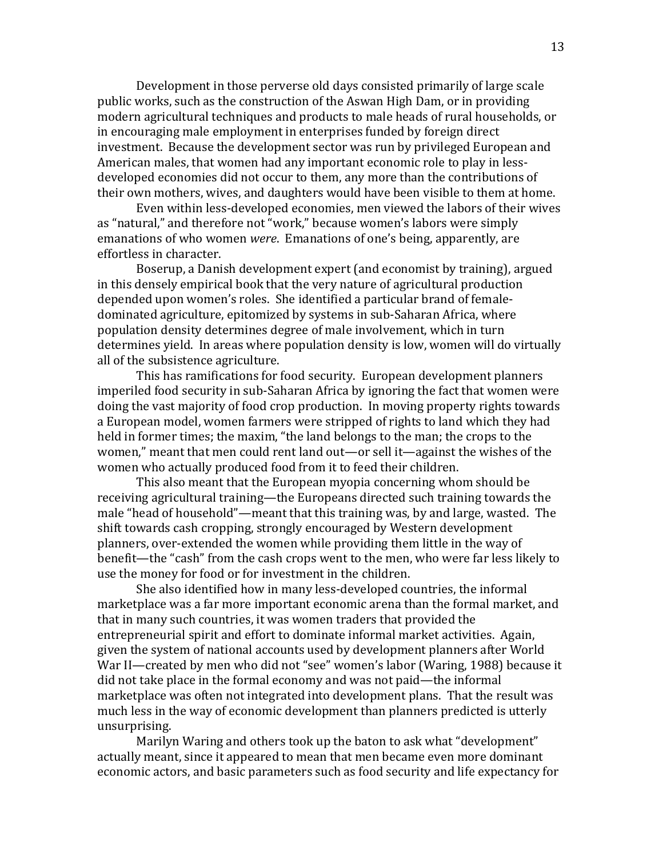Development in those perverse old days consisted primarily of large scale public works, such as the construction of the Aswan High Dam, or in providing modern agricultural techniques and products to male heads of rural households, or in encouraging male employment in enterprises funded by foreign direct investment. Because the development sector was run by privileged European and American males, that women had any important economic role to play in lessdeveloped economies did not occur to them, any more than the contributions of their own mothers, wives, and daughters would have been visible to them at home.

 Even within less-developed economies, men viewed the labors of their wives as "natural," and therefore not "work," because women's labors were simply emanations of who women *were*. Emanations of one's being, apparently, are effortless in character.

 Boserup, a Danish development expert (and economist by training), argued in this densely empirical book that the very nature of agricultural production depended upon women's roles. She identified a particular brand of femaledominated agriculture, epitomized by systems in sub-Saharan Africa, where population density determines degree of male involvement, which in turn determines yield. In areas where population density is low, women will do virtually all of the subsistence agriculture.

 This has ramifications for food security. European development planners imperiled food security in sub-Saharan Africa by ignoring the fact that women were doing the vast majority of food crop production. In moving property rights towards a European model, women farmers were stripped of rights to land which they had held in former times; the maxim, "the land belongs to the man; the crops to the women," meant that men could rent land out—or sell it—against the wishes of the women who actually produced food from it to feed their children.

 This also meant that the European myopia concerning whom should be receiving agricultural training—the Europeans directed such training towards the male "head of household"—meant that this training was, by and large, wasted. The shift towards cash cropping, strongly encouraged by Western development planners, over-extended the women while providing them little in the way of benefit—the "cash" from the cash crops went to the men, who were far less likely to use the money for food or for investment in the children.

 She also identified how in many less-developed countries, the informal marketplace was a far more important economic arena than the formal market, and that in many such countries, it was women traders that provided the entrepreneurial spirit and effort to dominate informal market activities. Again, given the system of national accounts used by development planners after World War II—created by men who did not "see" women's labor (Waring, 1988) because it did not take place in the formal economy and was not paid—the informal marketplace was often not integrated into development plans. That the result was much less in the way of economic development than planners predicted is utterly unsurprising.

 Marilyn Waring and others took up the baton to ask what "development" actually meant, since it appeared to mean that men became even more dominant economic actors, and basic parameters such as food security and life expectancy for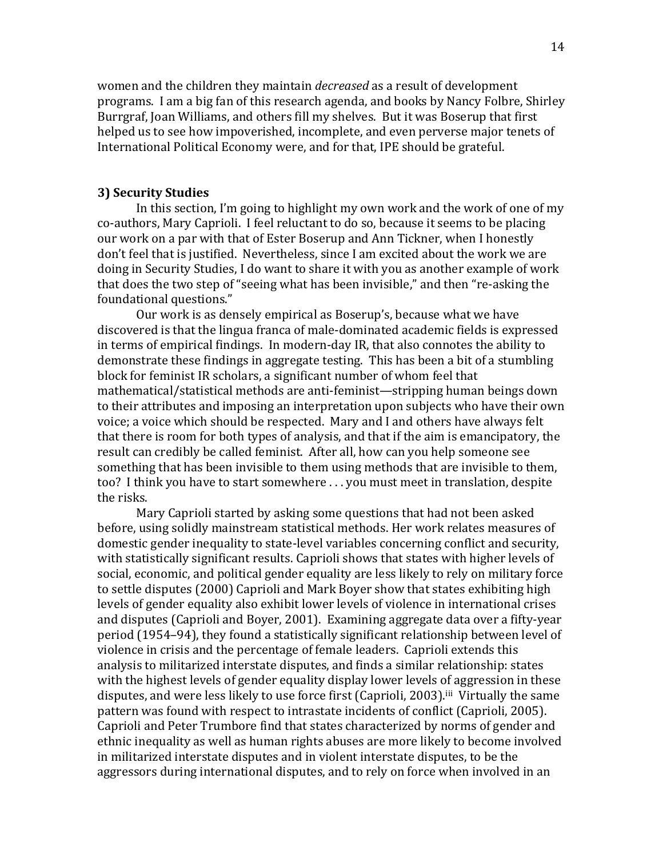women and the children they maintain *decreased* as a result of development programs. I am a big fan of this research agenda, and books by Nancy Folbre, Shirley Burrgraf, Joan Williams, and others fill my shelves. But it was Boserup that first helped us to see how impoverished, incomplete, and even perverse major tenets of International Political Economy were, and for that, IPE should be grateful.

# **3) Security Studies**

 In this section, I'm going to highlight my own work and the work of one of my co-authors, Mary Caprioli. I feel reluctant to do so, because it seems to be placing our work on a par with that of Ester Boserup and Ann Tickner, when I honestly don't feel that is justified. Nevertheless, since I am excited about the work we are doing in Security Studies, I do want to share it with you as another example of work that does the two step of "seeing what has been invisible," and then "re-asking the foundational questions."

 Our work is as densely empirical as Boserup's, because what we have discovered is that the lingua franca of male-dominated academic fields is expressed in terms of empirical findings. In modern-day IR, that also connotes the ability to demonstrate these findings in aggregate testing. This has been a bit of a stumbling block for feminist IR scholars, a significant number of whom feel that mathematical/statistical methods are anti-feminist—stripping human beings down to their attributes and imposing an interpretation upon subjects who have their own voice; a voice which should be respected. Mary and I and others have always felt that there is room for both types of analysis, and that if the aim is emancipatory, the result can credibly be called feminist. After all, how can you help someone see something that has been invisible to them using methods that are invisible to them, too? I think you have to start somewhere . . . you must meet in translation, despite the risks.

 Mary Caprioli started by asking some questions that had not been asked before, using solidly mainstream statistical methods. Her work relates measures of domestic gender inequality to state-level variables concerning conflict and security, with statistically significant results. Caprioli shows that states with higher levels of social, economic, and political gender equality are less likely to rely on military force to settle disputes (2000) Caprioli and Mark Boyer show that states exhibiting high levels of gender equality also exhibit lower levels of violence in international crises and disputes (Caprioli and Boyer, 2001). Examining aggregate data over a fifty-year period (1954–94), they found a statistically significant relationship between level of violence in crisis and the percentage of female leaders. Caprioli extends this analysis to militarized interstate disputes, and finds a similar relationship: states with the highest levels of gender equality display lower levels of aggression in these disputes, and were less likely to use force first (Caprioli, 2003).<sup>[iii](#page-25-0)</sup> Virtually the same pattern was found with respect to intrastate incidents of conflict (Caprioli, 2005). Caprioli and Peter Trumbore find that states characterized by norms of gender and ethnic inequality as well as human rights abuses are more likely to become involved in militarized interstate disputes and in violent interstate disputes, to be the aggressors during international disputes, and to rely on force when involved in an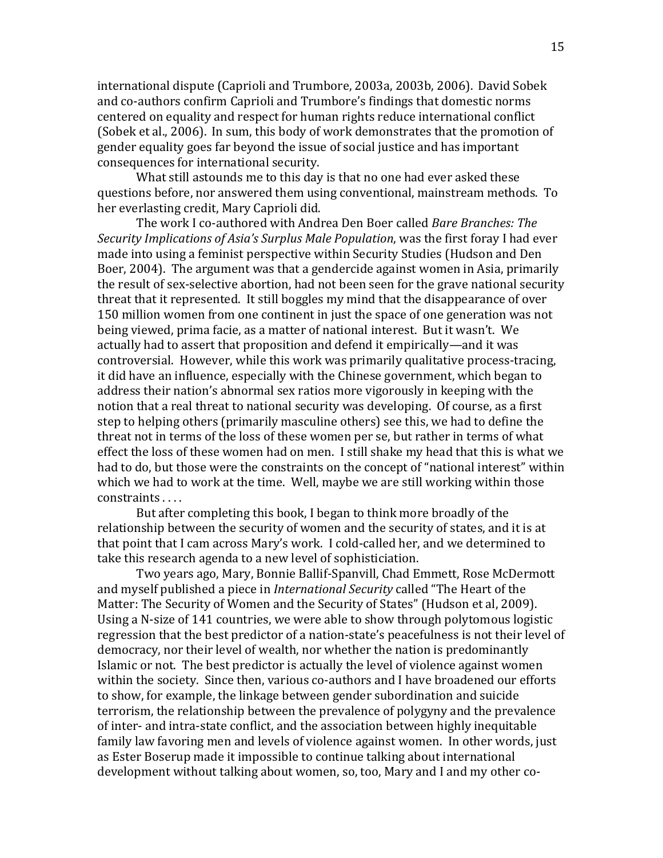international dispute (Caprioli and Trumbore, 2003a, 2003b, 2006). David Sobek and co-authors confirm Caprioli and Trumbore's findings that domestic norms centered on equality and respect for human rights reduce international conflict (Sobek et al., 2006). In sum, this body of work demonstrates that the promotion of gender equality goes far beyond the issue of social justice and has important consequences for international security.

 What still astounds me to this day is that no one had ever asked these questions before, nor answered them using conventional, mainstream methods. To her everlasting credit, Mary Caprioli did.

 The work I co-authored with Andrea Den Boer called *Bare Branches: The Security Implications of Asia's Surplus Male Population*, was the first foray I had ever made into using a feminist perspective within Security Studies (Hudson and Den Boer, 2004). The argument was that a gendercide against women in Asia, primarily the result of sex-selective abortion, had not been seen for the grave national security threat that it represented. It still boggles my mind that the disappearance of over 150 million women from one continent in just the space of one generation was not being viewed, prima facie, as a matter of national interest. But it wasn't. We actually had to assert that proposition and defend it empirically—and it was controversial. However, while this work was primarily qualitative process-tracing, it did have an influence, especially with the Chinese government, which began to address their nation's abnormal sex ratios more vigorously in keeping with the notion that a real threat to national security was developing. Of course, as a first step to helping others (primarily masculine others) see this, we had to define the threat not in terms of the loss of these women per se, but rather in terms of what effect the loss of these women had on men. I still shake my head that this is what we had to do, but those were the constraints on the concept of "national interest" within which we had to work at the time. Well, maybe we are still working within those constraints . . . .

 But after completing this book, I began to think more broadly of the relationship between the security of women and the security of states, and it is at that point that I cam across Mary's work. I cold-called her, and we determined to take this research agenda to a new level of sophisticiation.

 Two years ago, Mary, Bonnie Ballif-Spanvill, Chad Emmett, Rose McDermott and myself published a piece in *International Security* called "The Heart of the Matter: The Security of Women and the Security of States" (Hudson et al, 2009). Using a N-size of 141 countries, we were able to show through polytomous logistic regression that the best predictor of a nation-state's peacefulness is not their level of democracy, nor their level of wealth, nor whether the nation is predominantly Islamic or not. The best predictor is actually the level of violence against women within the society. Since then, various co-authors and I have broadened our efforts to show, for example, the linkage between gender subordination and suicide terrorism, the relationship between the prevalence of polygyny and the prevalence of inter- and intra-state conflict, and the association between highly inequitable family law favoring men and levels of violence against women. In other words, just as Ester Boserup made it impossible to continue talking about international development without talking about women, so, too, Mary and I and my other co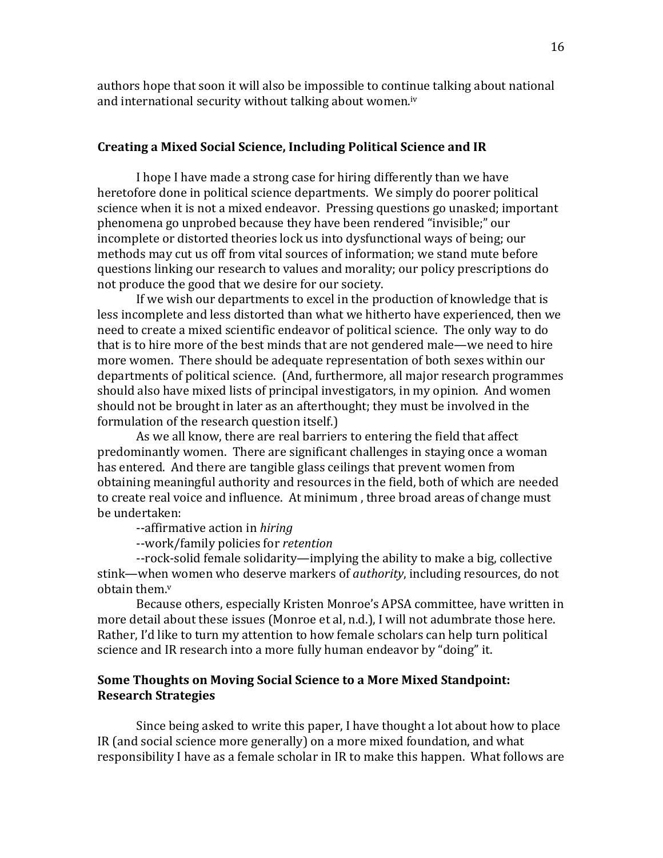<span id="page-15-0"></span>authors hope that soon it will also be impossible to continue talking about national and international security without talking about women.<sup>[iv](#page-25-0)</sup>

## **Creating a Mixed Social Science, Including Political Science and IR**

I hope I have made a strong case for hiring differently than we have heretofore done in political science departments. We simply do poorer political science when it is not a mixed endeavor. Pressing questions go unasked; important phenomena go unprobed because they have been rendered "invisible;" our incomplete or distorted theories lock us into dysfunctional ways of being; our methods may cut us off from vital sources of information; we stand mute before questions linking our research to values and morality; our policy prescriptions do not produce the good that we desire for our society.

 If we wish our departments to excel in the production of knowledge that is less incomplete and less distorted than what we hitherto have experienced, then we need to create a mixed scientific endeavor of political science. The only way to do that is to hire more of the best minds that are not gendered male—we need to hire more women. There should be adequate representation of both sexes within our departments of political science. (And, furthermore, all major research programmes should also have mixed lists of principal investigators, in my opinion. And women should not be brought in later as an afterthought; they must be involved in the formulation of the research question itself.)

 As we all know, there are real barriers to entering the field that affect predominantly women. There are significant challenges in staying once a woman has entered. And there are tangible glass ceilings that prevent women from obtaining meaningful authority and resources in the field, both of which are needed to create real voice and influence. At minimum , three broad areas of change must be undertaken:

--affirmative action in *hiring*

--work/family policies for *retention*

 --rock-solid female solidarity—implying the ability to make a big, collective stink—when women who deserve markers of *authority*, including resources, do not obtain them.<sup>v</sup>

 Because others, especially Kristen Monroe's APSA committee, have written in more detail about these issues (Monroe et al, n.d.), I will not adumbrate those here. Rather, I'd like to turn my attention to how female scholars can help turn political science and IR research into a more fully human endeavor by "doing" it.

## **Some Thoughts on Moving Social Science to a More Mixed Standpoint: Research Strategies**

 Since being asked to write this paper, I have thought a lot about how to place IR (and social science more generally) on a more mixed foundation, and what responsibility I have as a female scholar in IR to make this happen. What follows are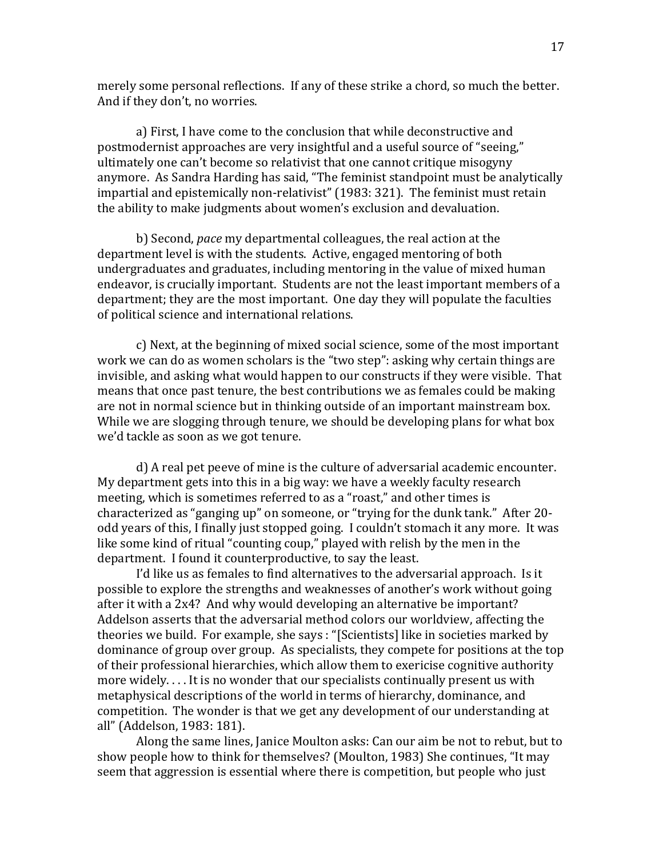merely some personal reflections. If any of these strike a chord, so much the better. And if they don't, no worries.

a) First, I have come to the conclusion that while deconstructive and postmodernist approaches are very insightful and a useful source of "seeing," ultimately one can't become so relativist that one cannot critique misogyny anymore. As Sandra Harding has said, "The feminist standpoint must be analytically impartial and epistemically non-relativist" (1983: 321). The feminist must retain the ability to make judgments about women's exclusion and devaluation.

b) Second, *pace* my departmental colleagues, the real action at the department level is with the students. Active, engaged mentoring of both undergraduates and graduates, including mentoring in the value of mixed human endeavor, is crucially important. Students are not the least important members of a department; they are the most important. One day they will populate the faculties of political science and international relations.

c) Next, at the beginning of mixed social science, some of the most important work we can do as women scholars is the "two step": asking why certain things are invisible, and asking what would happen to our constructs if they were visible. That means that once past tenure, the best contributions we as females could be making are not in normal science but in thinking outside of an important mainstream box. While we are slogging through tenure, we should be developing plans for what box we'd tackle as soon as we got tenure.

d) A real pet peeve of mine is the culture of adversarial academic encounter. My department gets into this in a big way: we have a weekly faculty research meeting, which is sometimes referred to as a "roast," and other times is characterized as "ganging up" on someone, or "trying for the dunk tank." After 20 odd years of this, I finally just stopped going. I couldn't stomach it any more. It was like some kind of ritual "counting coup," played with relish by the men in the department. I found it counterproductive, to say the least.

I'd like us as females to find alternatives to the adversarial approach. Is it possible to explore the strengths and weaknesses of another's work without going after it with a 2x4? And why would developing an alternative be important? Addelson asserts that the adversarial method colors our worldview, affecting the theories we build. For example, she says : "[Scientists] like in societies marked by dominance of group over group. As specialists, they compete for positions at the top of their professional hierarchies, which allow them to exericise cognitive authority more widely. . . . It is no wonder that our specialists continually present us with metaphysical descriptions of the world in terms of hierarchy, dominance, and competition. The wonder is that we get any development of our understanding at all" (Addelson, 1983: 181).

Along the same lines, Janice Moulton asks: Can our aim be not to rebut, but to show people how to think for themselves? (Moulton, 1983) She continues, "It may seem that aggression is essential where there is competition, but people who just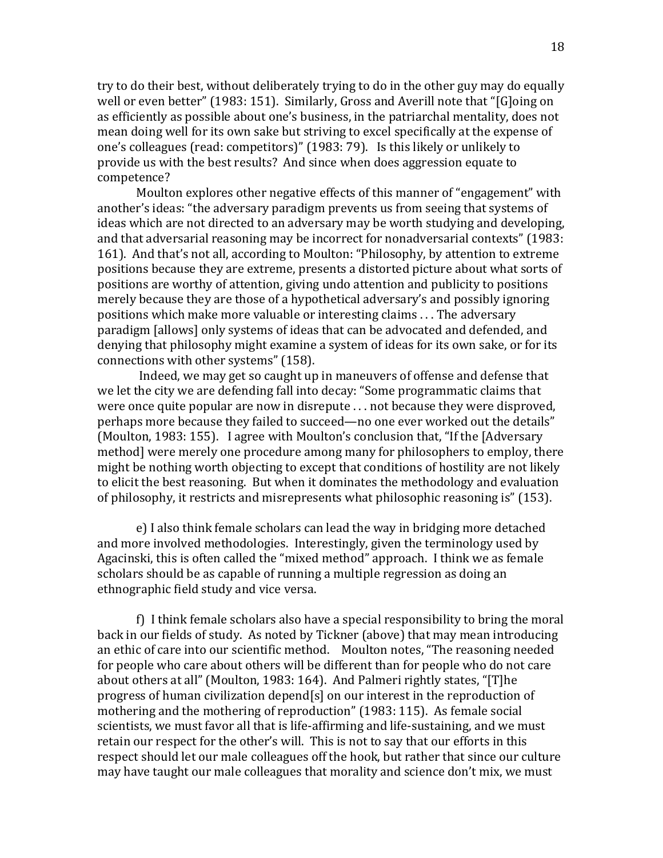try to do their best, without deliberately trying to do in the other guy may do equally well or even better" (1983: 151). Similarly, Gross and Averill note that "[G]oing on as efficiently as possible about one's business, in the patriarchal mentality, does not mean doing well for its own sake but striving to excel specifically at the expense of one's colleagues (read: competitors)" (1983: 79). Is this likely or unlikely to provide us with the best results? And since when does aggression equate to competence?

Moulton explores other negative effects of this manner of "engagement" with another's ideas: "the adversary paradigm prevents us from seeing that systems of ideas which are not directed to an adversary may be worth studying and developing, and that adversarial reasoning may be incorrect for nonadversarial contexts" (1983: 161). And that's not all, according to Moulton: "Philosophy, by attention to extreme positions because they are extreme, presents a distorted picture about what sorts of positions are worthy of attention, giving undo attention and publicity to positions merely because they are those of a hypothetical adversary's and possibly ignoring positions which make more valuable or interesting claims . . . The adversary paradigm [allows] only systems of ideas that can be advocated and defended, and denying that philosophy might examine a system of ideas for its own sake, or for its connections with other systems" (158).

 Indeed, we may get so caught up in maneuvers of offense and defense that we let the city we are defending fall into decay: "Some programmatic claims that were once quite popular are now in disrepute . . . not because they were disproved, perhaps more because they failed to succeed—no one ever worked out the details" (Moulton, 1983: 155). I agree with Moulton's conclusion that, "If the [Adversary method] were merely one procedure among many for philosophers to employ, there might be nothing worth objecting to except that conditions of hostility are not likely to elicit the best reasoning. But when it dominates the methodology and evaluation of philosophy, it restricts and misrepresents what philosophic reasoning is" (153).

e) I also think female scholars can lead the way in bridging more detached and more involved methodologies. Interestingly, given the terminology used by Agacinski, this is often called the "mixed method" approach. I think we as female scholars should be as capable of running a multiple regression as doing an ethnographic field study and vice versa.

f) I think female scholars also have a special responsibility to bring the moral back in our fields of study. As noted by Tickner (above) that may mean introducing an ethic of care into our scientific method. Moulton notes, "The reasoning needed for people who care about others will be different than for people who do not care about others at all" (Moulton, 1983: 164). And Palmeri rightly states, "[T]he progress of human civilization depend[s] on our interest in the reproduction of mothering and the mothering of reproduction" (1983: 115). As female social scientists, we must favor all that is life-affirming and life-sustaining, and we must retain our respect for the other's will. This is not to say that our efforts in this respect should let our male colleagues off the hook, but rather that since our culture may have taught our male colleagues that morality and science don't mix, we must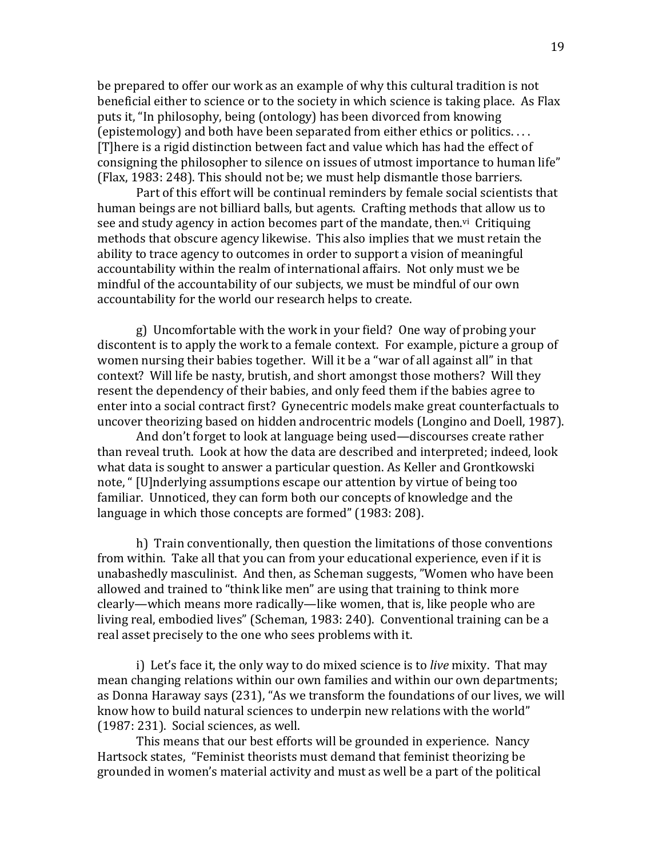be prepared to offer our work as an example of why this cultural tradition is not beneficial either to science or to the society in which science is taking place. As Flax puts it, "In philosophy, being (ontology) has been divorced from knowing (epistemology) and both have been separated from either ethics or politics. . . . [T]here is a rigid distinction between fact and value which has had the effect of consigning the philosopher to silence on issues of utmost importance to human life" (Flax, 1983: 248). This should not be; we must help dismantle those barriers.

 Part of this effort will be continual reminders by female social scientists that human beings are not billiard balls, but agents. Crafting methods that allow us to see and study agency in action becomes part of the mandate, then.<sup>[vi](#page-15-0)</sup> Critiquing methods that obscure agency likewise. This also implies that we must retain the ability to trace agency to outcomes in order to support a vision of meaningful accountability within the realm of international affairs. Not only must we be mindful of the accountability of our subjects, we must be mindful of our own accountability for the world our research helps to create.

g) Uncomfortable with the work in your field? One way of probing your discontent is to apply the work to a female context. For example, picture a group of women nursing their babies together. Will it be a "war of all against all" in that context? Will life be nasty, brutish, and short amongst those mothers? Will they resent the dependency of their babies, and only feed them if the babies agree to enter into a social contract first? Gynecentric models make great counterfactuals to uncover theorizing based on hidden androcentric models (Longino and Doell, 1987).

And don't forget to look at language being used—discourses create rather than reveal truth. Look at how the data are described and interpreted; indeed, look what data is sought to answer a particular question. As Keller and Grontkowski note, " [U]nderlying assumptions escape our attention by virtue of being too familiar. Unnoticed, they can form both our concepts of knowledge and the language in which those concepts are formed" (1983: 208).

h) Train conventionally, then question the limitations of those conventions from within. Take all that you can from your educational experience, even if it is unabashedly masculinist. And then, as Scheman suggests, "Women who have been allowed and trained to "think like men" are using that training to think more clearly—which means more radically—like women, that is, like people who are living real, embodied lives" (Scheman, 1983: 240). Conventional training can be a real asset precisely to the one who sees problems with it.

i) Let's face it, the only way to do mixed science is to *live* mixity. That may mean changing relations within our own families and within our own departments; as Donna Haraway says (231), "As we transform the foundations of our lives, we will know how to build natural sciences to underpin new relations with the world" (1987: 231). Social sciences, as well.

This means that our best efforts will be grounded in experience. Nancy Hartsock states, "Feminist theorists must demand that feminist theorizing be grounded in women's material activity and must as well be a part of the political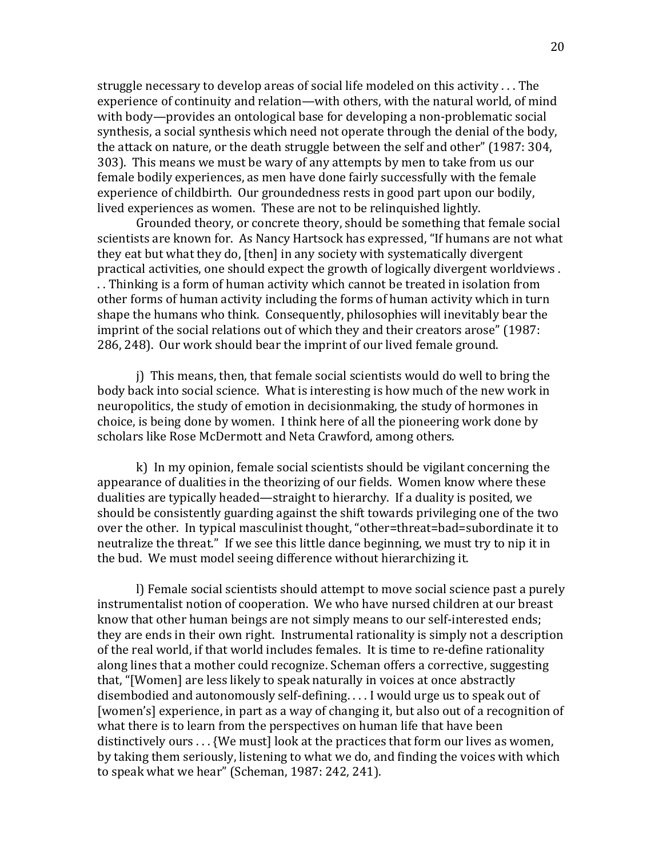struggle necessary to develop areas of social life modeled on this activity . . . The experience of continuity and relation—with others, with the natural world, of mind with body—provides an ontological base for developing a non-problematic social synthesis, a social synthesis which need not operate through the denial of the body, the attack on nature, or the death struggle between the self and other" (1987: 304, 303). This means we must be wary of any attempts by men to take from us our female bodily experiences, as men have done fairly successfully with the female experience of childbirth. Our groundedness rests in good part upon our bodily, lived experiences as women. These are not to be relinquished lightly.

Grounded theory, or concrete theory, should be something that female social scientists are known for. As Nancy Hartsock has expressed, "If humans are not what they eat but what they do, [then] in any society with systematically divergent practical activities, one should expect the growth of logically divergent worldviews . . . Thinking is a form of human activity which cannot be treated in isolation from other forms of human activity including the forms of human activity which in turn shape the humans who think. Consequently, philosophies will inevitably bear the imprint of the social relations out of which they and their creators arose" (1987: 286, 248). Our work should bear the imprint of our lived female ground.

j) This means, then, that female social scientists would do well to bring the body back into social science. What is interesting is how much of the new work in neuropolitics, the study of emotion in decisionmaking, the study of hormones in choice, is being done by women. I think here of all the pioneering work done by scholars like Rose McDermott and Neta Crawford, among others.

k) In my opinion, female social scientists should be vigilant concerning the appearance of dualities in the theorizing of our fields. Women know where these dualities are typically headed—straight to hierarchy. If a duality is posited, we should be consistently guarding against the shift towards privileging one of the two over the other. In typical masculinist thought, "other=threat=bad=subordinate it to neutralize the threat." If we see this little dance beginning, we must try to nip it in the bud. We must model seeing difference without hierarchizing it.

l) Female social scientists should attempt to move social science past a purely instrumentalist notion of cooperation. We who have nursed children at our breast know that other human beings are not simply means to our self-interested ends; they are ends in their own right. Instrumental rationality is simply not a description of the real world, if that world includes females. It is time to re-define rationality along lines that a mother could recognize. Scheman offers a corrective, suggesting that, "[Women] are less likely to speak naturally in voices at once abstractly disembodied and autonomously self-defining. . . . I would urge us to speak out of [women's] experience, in part as a way of changing it, but also out of a recognition of what there is to learn from the perspectives on human life that have been distinctively ours . . . {We must] look at the practices that form our lives as women, by taking them seriously, listening to what we do, and finding the voices with which to speak what we hear" (Scheman, 1987: 242, 241).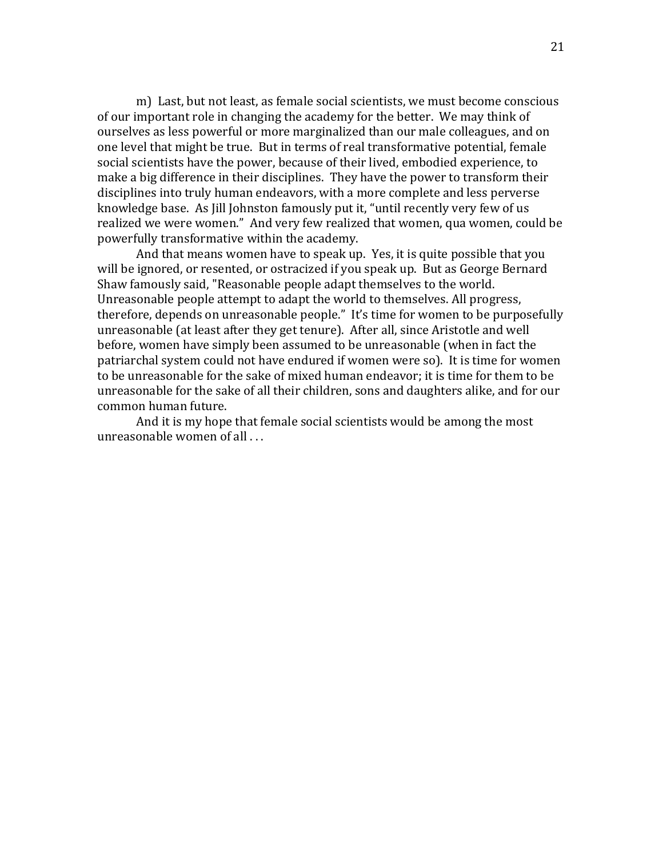m) Last, but not least, as female social scientists, we must become conscious of our important role in changing the academy for the better. We may think of ourselves as less powerful or more marginalized than our male colleagues, and on one level that might be true. But in terms of real transformative potential, female social scientists have the power, because of their lived, embodied experience, to make a big difference in their disciplines. They have the power to transform their disciplines into truly human endeavors, with a more complete and less perverse knowledge base. As Jill Johnston famously put it, "until recently very few of us realized we were women." And very few realized that women, qua women, could be powerfully transformative within the academy.

 And that means women have to speak up. Yes, it is quite possible that you will be ignored, or resented, or ostracized if you speak up. But as George Bernard Shaw famously said, "Reasonable people adapt themselves to the world. Unreasonable people attempt to adapt the world to themselves. All progress, therefore, depends on unreasonable people." It's time for women to be purposefully unreasonable (at least after they get tenure). After all, since Aristotle and well before, women have simply been assumed to be unreasonable (when in fact the patriarchal system could not have endured if women were so). It is time for women to be unreasonable for the sake of mixed human endeavor; it is time for them to be unreasonable for the sake of all their children, sons and daughters alike, and for our common human future.

And it is my hope that female social scientists would be among the most unreasonable women of all . . .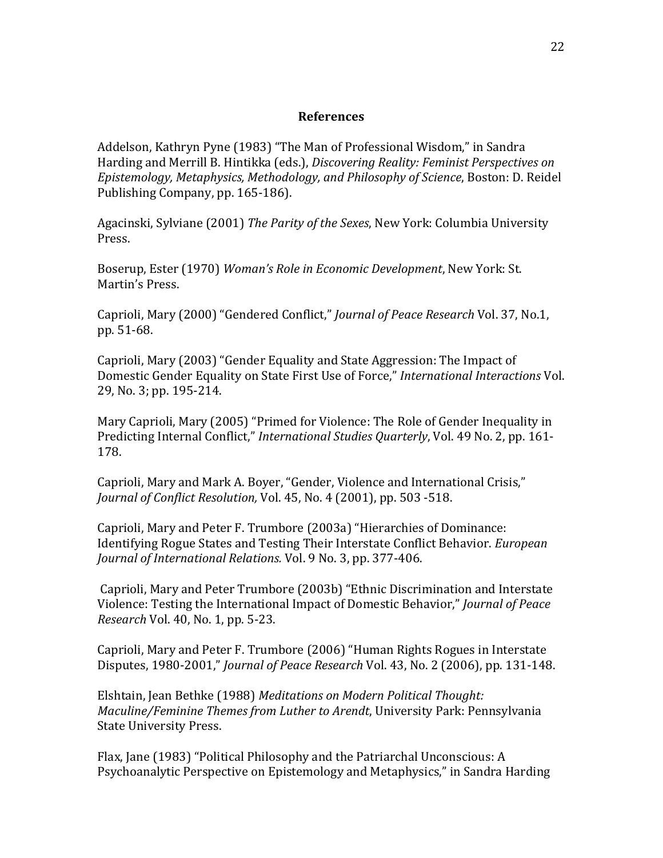#### **References**

Addelson, Kathryn Pyne (1983) "The Man of Professional Wisdom," in Sandra Harding and Merrill B. Hintikka (eds.), *Discovering Reality: Feminist Perspectives on Epistemology, Metaphysics, Methodology, and Philosophy of Science*, Boston: D. Reidel Publishing Company, pp. 165-186).

Agacinski, Sylviane (2001) *The Parity of the Sexes*, New York: Columbia University Press.

Boserup, Ester (1970) *Woman's Role in Economic Development*, New York: St. Martin's Press.

Caprioli, Mary (2000) "Gendered Conflict," *Journal of Peace Research* Vol. 37, No.1, pp. 51-68.

Caprioli, Mary (2003) "Gender Equality and State Aggression: The Impact of Domestic Gender Equality on State First Use of Force," *International Interactions* Vol. 29, No. 3; pp. 195-214.

Mary Caprioli, Mary (2005) "Primed for Violence: The Role of Gender Inequality in Predicting Internal Conflict," *International Studies Quarterly*, Vol. 49 No. 2, pp. 161- 178.

Caprioli, Mary and Mark A. Boyer, "Gender, Violence and International Crisis," *Journal of Conflict Resolution,* Vol. 45, No. 4 (2001), pp. 503 -518.

Caprioli, Mary and Peter F. Trumbore (2003a) "Hierarchies of Dominance: Identifying Rogue States and Testing Their Interstate Conflict Behavior. *European Journal of International Relations.* Vol. 9 No. 3, pp. 377-406.

 Caprioli, Mary and Peter Trumbore (2003b) "Ethnic Discrimination and Interstate Violence: Testing the International Impact of Domestic Behavior," *Journal of Peace Research* Vol. 40, No. 1, pp. 5-23.

Caprioli, Mary and Peter F. Trumbore (2006) "Human Rights Rogues in Interstate Disputes, 1980-2001," *Journal of Peace Research* Vol. 43, No. 2 (2006), pp. 131-148.

Elshtain, Jean Bethke (1988) *Meditations on Modern Political Thought: Maculine/Feminine Themes from Luther to Arendt*, University Park: Pennsylvania State University Press.

Flax, Jane (1983) "Political Philosophy and the Patriarchal Unconscious: A Psychoanalytic Perspective on Epistemology and Metaphysics," in Sandra Harding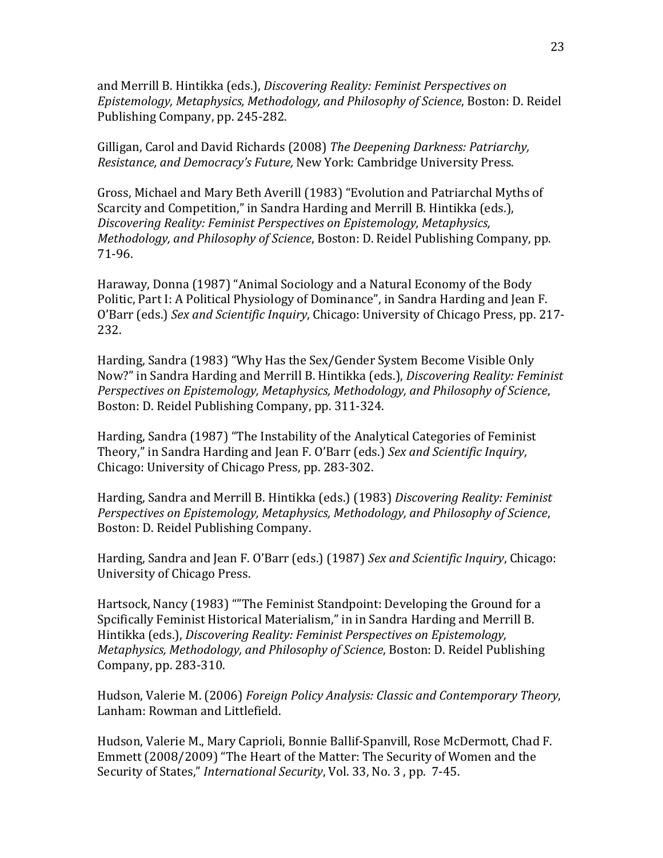and Merrill B. Hintikka (eds.), *Discovering Reality: Feminist Perspectives on Epistemology, Metaphysics, Methodology, and Philosophy of Science*, Boston: D. Reidel Publishing Company, pp. 245-282.

Gilligan, Carol and David Richards (2008) *The Deepening Darkness: Patriarchy, Resistance, and Democracy's Future,* New York: Cambridge University Press.

Gross, Michael and Mary Beth Averill (1983) "Evolution and Patriarchal Myths of Scarcity and Competition," in Sandra Harding and Merrill B. Hintikka (eds.), *Discovering Reality: Feminist Perspectives on Epistemology, Metaphysics, Methodology, and Philosophy of Science*, Boston: D. Reidel Publishing Company, pp. 71-96.

Haraway, Donna (1987) "Animal Sociology and a Natural Economy of the Body Politic, Part I: A Political Physiology of Dominance", in Sandra Harding and Jean F. O'Barr (eds.) *Sex and Scientific Inquiry*, Chicago: University of Chicago Press, pp. 217- 232.

Harding, Sandra (1983) "Why Has the Sex/Gender System Become Visible Only Now?" in Sandra Harding and Merrill B. Hintikka (eds.), *Discovering Reality: Feminist Perspectives on Epistemology, Metaphysics, Methodology, and Philosophy of Science*, Boston: D. Reidel Publishing Company, pp. 311-324.

Harding, Sandra (1987) "The Instability of the Analytical Categories of Feminist Theory," in Sandra Harding and Jean F. O'Barr (eds.) *Sex and Scientific Inquiry*, Chicago: University of Chicago Press, pp. 283-302.

Harding, Sandra and Merrill B. Hintikka (eds.) (1983) *Discovering Reality: Feminist Perspectives on Epistemology, Metaphysics, Methodology, and Philosophy of Science*, Boston: D. Reidel Publishing Company.

Harding, Sandra and Jean F. O'Barr (eds.) (1987) *Sex and Scientific Inquiry*, Chicago: University of Chicago Press.

Hartsock, Nancy (1983) ""The Feminist Standpoint: Developing the Ground for a Spcifically Feminist Historical Materialism," in in Sandra Harding and Merrill B. Hintikka (eds.), *Discovering Reality: Feminist Perspectives on Epistemology, Metaphysics, Methodology, and Philosophy of Science*, Boston: D. Reidel Publishing Company, pp. 283-310.

Hudson, Valerie M. (2006) *Foreign Policy Analysis: Classic and Contemporary Theory*, Lanham: Rowman and Littlefield.

Hudson, Valerie M., Mary Caprioli, Bonnie Ballif-Spanvill, Rose McDermott, Chad F. Emmett (2008/2009) "The Heart of the Matter: The Security of Women and the Security of States," *International Security*, Vol. 33, No. 3 , pp. 7-45.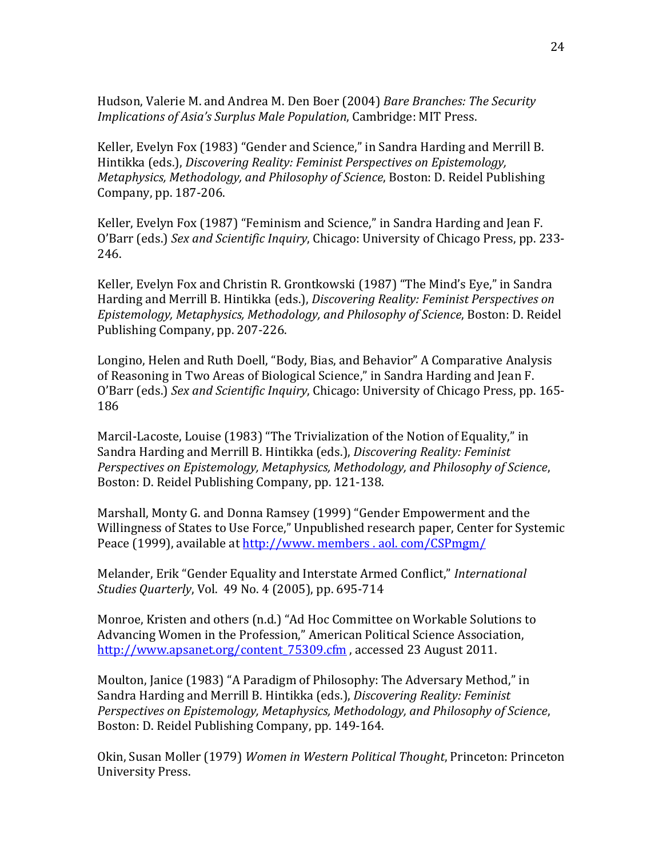Hudson, Valerie M. and Andrea M. Den Boer (2004) *Bare Branches: The Security Implications of Asia's Surplus Male Population*, Cambridge: MIT Press.

Keller, Evelyn Fox (1983) "Gender and Science," in Sandra Harding and Merrill B. Hintikka (eds.), *Discovering Reality: Feminist Perspectives on Epistemology, Metaphysics, Methodology, and Philosophy of Science*, Boston: D. Reidel Publishing Company, pp. 187-206.

Keller, Evelyn Fox (1987) "Feminism and Science," in Sandra Harding and Jean F. O'Barr (eds.) *Sex and Scientific Inquiry*, Chicago: University of Chicago Press, pp. 233- 246.

Keller, Evelyn Fox and Christin R. Grontkowski (1987) "The Mind's Eye," in Sandra Harding and Merrill B. Hintikka (eds.), *Discovering Reality: Feminist Perspectives on Epistemology, Metaphysics, Methodology, and Philosophy of Science*, Boston: D. Reidel Publishing Company, pp. 207-226.

Longino, Helen and Ruth Doell, "Body, Bias, and Behavior" A Comparative Analysis of Reasoning in Two Areas of Biological Science," in Sandra Harding and Jean F. O'Barr (eds.) *Sex and Scientific Inquiry*, Chicago: University of Chicago Press, pp. 165- 186

Marcil-Lacoste, Louise (1983) "The Trivialization of the Notion of Equality," in Sandra Harding and Merrill B. Hintikka (eds.), *Discovering Reality: Feminist Perspectives on Epistemology, Metaphysics, Methodology, and Philosophy of Science*, Boston: D. Reidel Publishing Company, pp. 121-138.

Marshall, Monty G. and Donna Ramsey (1999) "Gender Empowerment and the Willingness of States to Use Force," Unpublished research paper, Center for Systemic Peace (1999), available at http:/[/www. members . aol. com/CS](http://www.members.aol.com/C)Pmgm/

Melander, Erik "Gender Equality and Interstate Armed Conflict," *International Studies Quarterly*, Vol. 49 No. 4 (2005), pp. 695-714

Monroe, Kristen and others (n.d.) "Ad Hoc Committee on Workable Solutions to Advancing Women in the Profession," American Political Science Association, http://www.apsanet.org/content 75309.cfm , accessed 23 August 2011.

Moulton, Janice (1983) "A Paradigm of Philosophy: The Adversary Method," in Sandra Harding and Merrill B. Hintikka (eds.), *Discovering Reality: Feminist Perspectives on Epistemology, Metaphysics, Methodology, and Philosophy of Science*, Boston: D. Reidel Publishing Company, pp. 149-164.

Okin, Susan Moller (1979) *Women in Western Political Thought*, Princeton: Princeton University Press.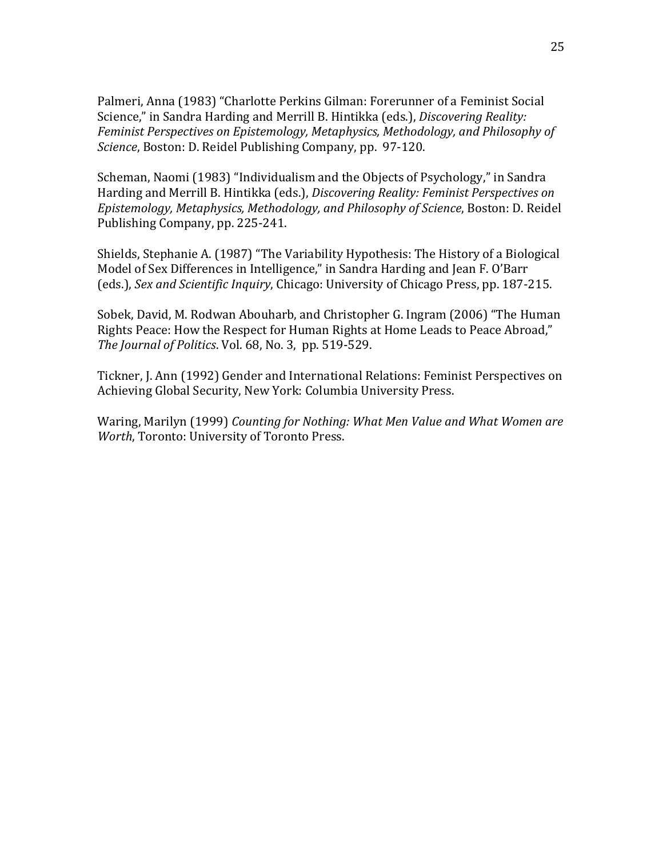Palmeri, Anna (1983) "Charlotte Perkins Gilman: Forerunner of a Feminist Social Science," in Sandra Harding and Merrill B. Hintikka (eds.), *Discovering Reality: Feminist Perspectives on Epistemology, Metaphysics, Methodology, and Philosophy of Science*, Boston: D. Reidel Publishing Company, pp. 97-120.

Scheman, Naomi (1983) "Individualism and the Objects of Psychology," in Sandra Harding and Merrill B. Hintikka (eds.), *Discovering Reality: Feminist Perspectives on Epistemology, Metaphysics, Methodology, and Philosophy of Science*, Boston: D. Reidel Publishing Company, pp. 225-241.

Shields, Stephanie A. (1987) "The Variability Hypothesis: The History of a Biological Model of Sex Differences in Intelligence," in Sandra Harding and Jean F. O'Barr (eds.), *Sex and Scientific Inquiry*, Chicago: University of Chicago Press, pp. 187-215.

Sobek, David, M. Rodwan Abouharb, and Christopher G. Ingram (2006) "The Human Rights Peace: How the Respect for Human Rights at Home Leads to Peace Abroad," *The Journal of Politics*. Vol. 68, No. 3, pp. 519-529.

Tickner, J. Ann (1992) Gender and International Relations: Feminist Perspectives on Achieving Global Security, New York: Columbia University Press.

Waring, Marilyn (1999) *Counting for Nothing: What Men Value and What Women are Worth*, Toronto: University of Toronto Press.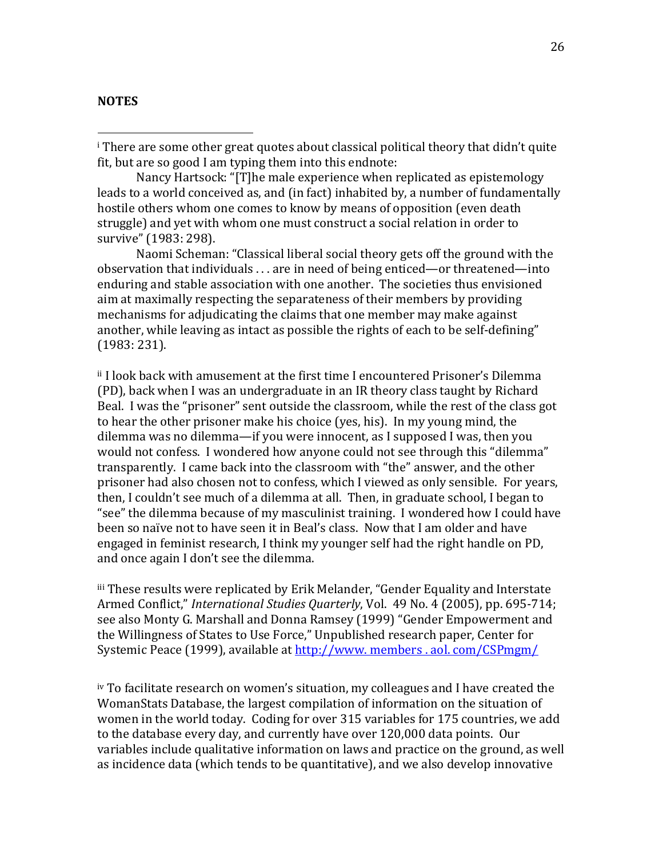#### <span id="page-25-0"></span>**NOTES**

 $\overline{a}$ 

i There are some other great quotes about classical political theory that didn't quite fit, but are so good I am typing them into this endnote:

Nancy Hartsock: "[T]he male experience when replicated as epistemology leads to a world conceived as, and (in fact) inhabited by, a number of fundamentally hostile others whom one comes to know by means of opposition (even death struggle) and yet with whom one must construct a social relation in order to survive" (1983: 298).

Naomi Scheman: "Classical liberal social theory gets off the ground with the observation that individuals . . . are in need of being enticed—or threatened—into enduring and stable association with one another. The societies thus envisioned aim at maximally respecting the separateness of their members by providing mechanisms for adjudicating the claims that one member may make against another, while leaving as intact as possible the rights of each to be self-defining" (1983: 231).

ii I look back with amusement at the first time I encountered Prisoner's Dilemma (PD), back when I was an undergraduate in an IR theory class taught by Richard Beal. I was the "prisoner" sent outside the classroom, while the rest of the class got to hear the other prisoner make his choice (yes, his). In my young mind, the dilemma was no dilemma—if you were innocent, as I supposed I was, then you would not confess. I wondered how anyone could not see through this "dilemma" transparently. I came back into the classroom with "the" answer, and the other prisoner had also chosen not to confess, which I viewed as only sensible. For years, then, I couldn't see much of a dilemma at all. Then, in graduate school, I began to "see" the dilemma because of my masculinist training. I wondered how I could have been so naïve not to have seen it in Beal's class. Now that I am older and have engaged in feminist research, I think my younger self had the right handle on PD, and once again I don't see the dilemma.

iii These results were replicated by Erik Melander, "Gender Equality and Interstate Armed Conflict," *International Studies Quarterly*, Vol. 49 No. 4 (2005), pp. 695-714; see also Monty G. Marshall and Donna Ramsey (1999) "Gender Empowerment and the Willingness of States to Use Force," Unpublished research paper, Center for Systemic Peace (1999), available at http:/[/www. members . aol. com/CS](http://www.members.aol.com/C)Pmgm/

iv To facilitate research on women's situation, my colleagues and I have created the WomanStats Database, the largest compilation of information on the situation of women in the world today. Coding for over 315 variables for 175 countries, we add to the database every day, and currently have over 120,000 data points. Our variables include qualitative information on laws and practice on the ground, as well as incidence data (which tends to be quantitative), and we also develop innovative